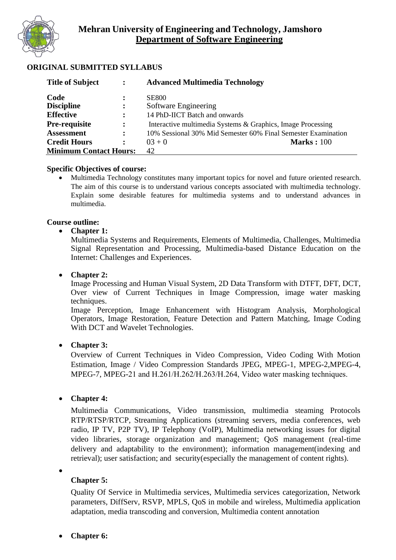

### **ORIGINAL SUBMITTED SYLLABUS**

| <b>Title of Subject</b>       | $\ddot{\cdot}$       | <b>Advanced Multimedia Technology</b>                         |
|-------------------------------|----------------------|---------------------------------------------------------------|
| Code                          |                      | <b>SE800</b>                                                  |
| <b>Discipline</b>             | $\ddot{\cdot}$       | Software Engineering                                          |
| <b>Effective</b>              | $\ddot{\cdot}$       | 14 PhD-IICT Batch and onwards                                 |
| <b>Pre-requisite</b>          | $\ddot{\cdot}$       | Interactive multimedia Systems & Graphics, Image Processing   |
| <b>Assessment</b>             | $\ddot{\phantom{a}}$ | 10% Sessional 30% Mid Semester 60% Final Semester Examination |
| <b>Credit Hours</b>           | $\ddot{\cdot}$       | <b>Marks: 100</b><br>$03 + 0$                                 |
| <b>Minimum Contact Hours:</b> |                      | 42                                                            |

#### **Specific Objectives of course:**

• Multimedia Technology constitutes many important topics for novel and future oriented research. The aim of this course is to understand various concepts associated with multimedia technology. Explain some desirable features for multimedia systems and to understand advances in multimedia.

#### **Course outline:**

#### • **Chapter 1:**

Multimedia Systems and Requirements, Elements of Multimedia, Challenges, Multimedia Signal Representation and Processing, Multimedia-based Distance Education on the Internet: Challenges and Experiences.

#### • **Chapter 2:**

Image Processing and Human Visual System, 2D Data Transform with DTFT, DFT, DCT, Over view of Current Techniques in Image Compression, image water masking techniques.

Image Perception, Image Enhancement with Histogram Analysis, Morphological Operators, Image Restoration, Feature Detection and Pattern Matching, Image Coding With DCT and Wavelet Technologies.

#### • **Chapter 3:**

Overview of Current Techniques in Video Compression, Video Coding With Motion Estimation, Image / Video Compression Standards JPEG, MPEG-1, MPEG-2,MPEG-4, MPEG-7, MPEG-21 and H.261/H.262/H.263/H.264, Video water masking techniques.

#### • **Chapter 4:**

Multimedia Communications, Video transmission, multimedia steaming Protocols RTP/RTSP/RTCP, Streaming Applications (streaming servers, media conferences, web radio, IP TV, P2P TV), IP Telephony (VoIP), Multimedia networking issues for digital video libraries, storage organization and management; QoS management (real-time delivery and adaptability to the environment); information management(indexing and retrieval); user satisfaction; and security(especially the management of content rights).

•

#### **Chapter 5:**

Quality Of Service in Multimedia services, Multimedia services categorization, Network parameters, DiffServ, RSVP, MPLS, QoS in mobile and wireless, Multimedia application adaptation, media transcoding and conversion, Multimedia content annotation

#### • **Chapter 6:**